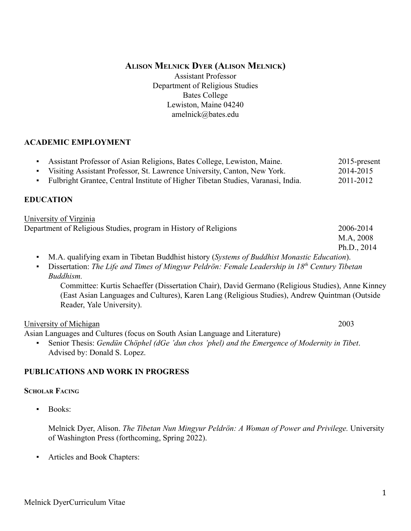# **ALISON MELNICK DYER (ALISON MELNICK)**

Assistant Professor Department of Religious Studies Bates College Lewiston, Maine 04240 amelnick@bates.edu

# **ACADEMIC EMPLOYMENT**

| Assistant Professor of Asian Religions, Bates College, Lewiston, Maine.<br>٠<br>Visiting Assistant Professor, St. Lawrence University, Canton, New York.<br>$\blacksquare$<br>Fulbright Grantee, Central Institute of Higher Tibetan Studies, Varanasi, India.<br>$\blacksquare$ | 2015-present<br>2014-2015<br>2011-2012 |
|----------------------------------------------------------------------------------------------------------------------------------------------------------------------------------------------------------------------------------------------------------------------------------|----------------------------------------|
| <b>EDUCATION</b>                                                                                                                                                                                                                                                                 |                                        |
| University of Virginia                                                                                                                                                                                                                                                           |                                        |
| Department of Religious Studies, program in History of Religions                                                                                                                                                                                                                 | 2006-2014<br>M.A, 2008<br>Ph.D., 2014  |
| M.A. qualifying exam in Tibetan Buddhist history (Systems of Buddhist Monastic Education).<br>$\blacksquare$                                                                                                                                                                     |                                        |
| Dissertation: The Life and Times of Mingyur Peldrön: Female Leadership in $18th$ Century Tibetan<br>$\blacksquare$<br>Buddhism.                                                                                                                                                  |                                        |
| Committee: Kurtis Schaeffer (Dissertation Chair), David Germano (Religious Studies), Anne Kinney<br>(East Asian Languages and Cultures), Karen Lang (Religious Studies), Andrew Quintman (Outside<br>Reader, Yale University).                                                   |                                        |
| University of Michigan                                                                                                                                                                                                                                                           | 2003                                   |
| Asian Languages and Cultures (focus on South Asian Language and Literature)                                                                                                                                                                                                      |                                        |
| Senior Thesis: Gendün Chöphel (dGe 'dun chos 'phel) and the Emergence of Modernity in Tibet.<br>٠<br>Advised by: Donald S. Lopez.                                                                                                                                                |                                        |

# **PUBLICATIONS AND WORK IN PROGRESS**

# **SCHOLAR FACING**

▪ Books:

Melnick Dyer, Alison. *The Tibetan Nun Mingyur Peldrön: A Woman of Power and Privilege.* University of Washington Press (forthcoming, Spring 2022).

▪ Articles and Book Chapters: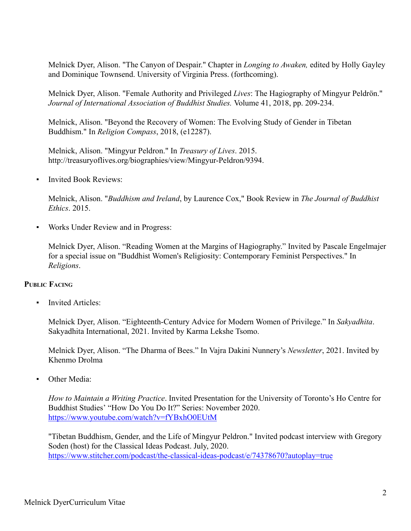Melnick Dyer, Alison. "The Canyon of Despair." Chapter in *Longing to Awaken,* edited by Holly Gayley and Dominique Townsend. University of Virginia Press. (forthcoming).

Melnick Dyer, Alison. "Female Authority and Privileged *Lives*: The Hagiography of Mingyur Peldrön." *Journal of International Association of Buddhist Studies.* Volume 41, 2018, pp. 209-234.

Melnick, Alison. "Beyond the Recovery of Women: The Evolving Study of Gender in Tibetan Buddhism." In *Religion Compass*, 2018, (e12287).

Melnick, Alison. "Mingyur Peldron." In *Treasury of Lives*. 2015. http://treasuryoflives.org/biographies/view/Mingyur-Peldron/9394.

**Invited Book Reviews:** 

Melnick, Alison. "*Buddhism and Ireland*, by Laurence Cox," Book Review in *The Journal of Buddhist Ethics*. 2015.

Works Under Review and in Progress:

Melnick Dyer, Alison. "Reading Women at the Margins of Hagiography." Invited by Pascale Engelmajer for a special issue on "Buddhist Women's Religiosity: Contemporary Feminist Perspectives." In *Religions*.

# **PUBLIC FACING**

**Invited Articles:** 

Melnick Dyer, Alison. "Eighteenth-Century Advice for Modern Women of Privilege." In *Sakyadhita*. Sakyadhita International, 2021. Invited by Karma Lekshe Tsomo.

Melnick Dyer, Alison. "The Dharma of Bees." In Vajra Dakini Nunnery's *Newsletter*, 2021. Invited by Khenmo Drolma

Other Media:

*How to Maintain a Writing Practice*. Invited Presentation for the University of Toronto's Ho Centre for Buddhist Studies' "How Do You Do It?" Series: November 2020. <https://www.youtube.com/watch?v=fYBxhO0EUtM>

"Tibetan Buddhism, Gender, and the Life of Mingyur Peldron." Invited podcast interview with Gregory Soden (host) for the Classical Ideas Podcast. July, 2020. <https://www.stitcher.com/podcast/the-classical-ideas-podcast/e/74378670?autoplay=true>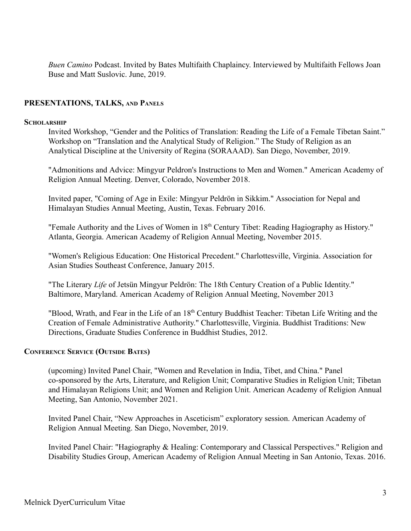*Buen Camino* Podcast. Invited by Bates Multifaith Chaplaincy. Interviewed by Multifaith Fellows Joan Buse and Matt Suslovic. June, 2019.

## **PRESENTATIONS, TALKS, AND PANELS**

#### **SCHOLARSHIP**

Invited Workshop, "Gender and the Politics of Translation: Reading the Life of a Female Tibetan Saint." Workshop on "Translation and the Analytical Study of Religion." The Study of Religion as an Analytical Discipline at the University of Regina (SORAAAD). San Diego, November, 2019.

"Admonitions and Advice: Mingyur Peldron's Instructions to Men and Women." American Academy of Religion Annual Meeting. Denver, Colorado, November 2018.

Invited paper, "Coming of Age in Exile: Mingyur Peldrön in Sikkim." Association for Nepal and Himalayan Studies Annual Meeting, Austin, Texas. February 2016.

"Female Authority and the Lives of Women in 18<sup>th</sup> Century Tibet: Reading Hagiography as History." Atlanta, Georgia. American Academy of Religion Annual Meeting, November 2015.

"Women's Religious Education: One Historical Precedent." Charlottesville, Virginia. Association for Asian Studies Southeast Conference, January 2015.

"The Literary *Life* of Jetsün Mingyur Peldrön: The 18th Century Creation of a Public Identity." Baltimore, Maryland. American Academy of Religion Annual Meeting, November 2013

"Blood, Wrath, and Fear in the Life of an 18<sup>th</sup> Century Buddhist Teacher: Tibetan Life Writing and the Creation of Female Administrative Authority." Charlottesville, Virginia. Buddhist Traditions: New Directions, Graduate Studies Conference in Buddhist Studies, 2012.

### **CONFERENCE SERVICE (OUTSIDE BATES)**

(upcoming) Invited Panel Chair, "Women and Revelation in India, Tibet, and China." Panel co-sponsored by the Arts, Literature, and Religion Unit; Comparative Studies in Religion Unit; Tibetan and Himalayan Religions Unit; and Women and Religion Unit. American Academy of Religion Annual Meeting, San Antonio, November 2021.

Invited Panel Chair, "New Approaches in Asceticism" exploratory session. American Academy of Religion Annual Meeting. San Diego, November, 2019.

Invited Panel Chair: "Hagiography & Healing: Contemporary and Classical Perspectives." Religion and Disability Studies Group, American Academy of Religion Annual Meeting in San Antonio, Texas. 2016.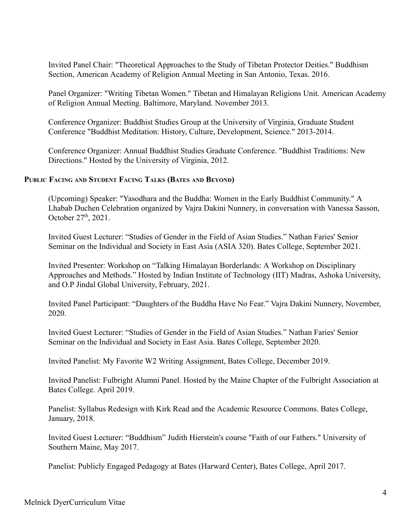Invited Panel Chair: "Theoretical Approaches to the Study of Tibetan Protector Deities." Buddhism Section, American Academy of Religion Annual Meeting in San Antonio, Texas. 2016.

Panel Organizer: "Writing Tibetan Women." Tibetan and Himalayan Religions Unit. American Academy of Religion Annual Meeting. Baltimore, Maryland. November 2013.

Conference Organizer: Buddhist Studies Group at the University of Virginia, Graduate Student Conference "Buddhist Meditation: History, Culture, Development, Science." 2013-2014.

Conference Organizer: Annual Buddhist Studies Graduate Conference. "Buddhist Traditions: New Directions." Hosted by the University of Virginia, 2012.

## **PUBLIC FACING AND STUDENT FACING TALKS (BATES AND BEYOND)**

(Upcoming) Speaker: "Yasodhara and the Buddha: Women in the Early Buddhist Community." A Lhabab Duchen Celebration organized by Vajra Dakini Nunnery, in conversation with Vanessa Sasson, October  $27<sup>th</sup>$ , 2021.

Invited Guest Lecturer: "Studies of Gender in the Field of Asian Studies." Nathan Faries' Senior Seminar on the Individual and Society in East Asia (ASIA 320). Bates College, September 2021.

Invited Presenter: Workshop on "Talking Himalayan Borderlands: A Workshop on Disciplinary Approaches and Methods." Hosted by Indian Institute of Technology (IIT) Madras, Ashoka University, and O.P Jindal Global University, February, 2021.

Invited Panel Participant: "Daughters of the Buddha Have No Fear." Vajra Dakini Nunnery, November, 2020.

Invited Guest Lecturer: "Studies of Gender in the Field of Asian Studies." Nathan Faries' Senior Seminar on the Individual and Society in East Asia. Bates College, September 2020.

Invited Panelist: My Favorite W2 Writing Assignment, Bates College, December 2019.

Invited Panelist: Fulbright Alumni Panel. Hosted by the Maine Chapter of the Fulbright Association at Bates College. April 2019.

Panelist: Syllabus Redesign with Kirk Read and the Academic Resource Commons. Bates College, January, 2018.

Invited Guest Lecturer: "Buddhism" Judith Hierstein's course "Faith of our Fathers." University of Southern Maine, May 2017.

Panelist: Publicly Engaged Pedagogy at Bates (Harward Center), Bates College, April 2017.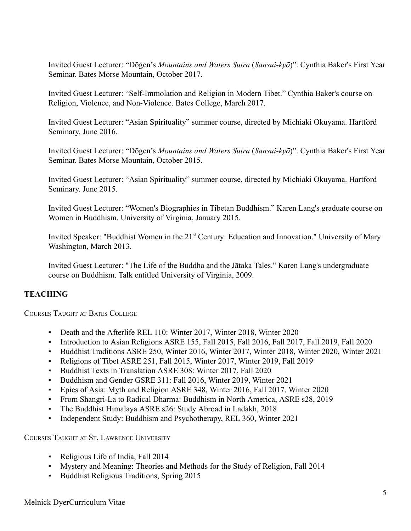Invited Guest Lecturer: "Dōgen's *Mountains and Waters Sutra* (*Sansui-kyō*)". Cynthia Baker's First Year Seminar. Bates Morse Mountain, October 2017.

Invited Guest Lecturer: "Self-Immolation and Religion in Modern Tibet." Cynthia Baker's course on Religion, Violence, and Non-Violence. Bates College, March 2017.

Invited Guest Lecturer: "Asian Spirituality" summer course, directed by Michiaki Okuyama. Hartford Seminary, June 2016.

Invited Guest Lecturer: "Dōgen's *Mountains and Waters Sutra* (*Sansui-kyō*)". Cynthia Baker's First Year Seminar. Bates Morse Mountain, October 2015.

Invited Guest Lecturer: "Asian Spirituality" summer course, directed by Michiaki Okuyama. Hartford Seminary. June 2015.

Invited Guest Lecturer: "Women's Biographies in Tibetan Buddhism." Karen Lang's graduate course on Women in Buddhism. University of Virginia, January 2015.

Invited Speaker: "Buddhist Women in the 21<sup>st</sup> Century: Education and Innovation." University of Mary Washington, March 2013.

Invited Guest Lecturer: "The Life of the Buddha and the Jātaka Tales." Karen Lang's undergraduate course on Buddhism. Talk entitled University of Virginia, 2009.

# **TEACHING**

COURSES TAUGHT AT BATES COLLEGE

- Death and the Afterlife REL 110: Winter 2017, Winter 2018, Winter 2020
- Introduction to Asian Religions ASRE 155, Fall 2015, Fall 2016, Fall 2017, Fall 2019, Fall 2020
- Buddhist Traditions ASRE 250, Winter 2016, Winter 2017, Winter 2018, Winter 2020, Winter 2021
- Religions of Tibet ASRE 251, Fall 2015, Winter 2017, Winter 2019, Fall 2019
- Buddhist Texts in Translation ASRE 308: Winter 2017, Fall 2020
- Buddhism and Gender GSRE 311: Fall 2016, Winter 2019, Winter 2021
- Epics of Asia: Myth and Religion ASRE 348, Winter 2016, Fall 2017, Winter 2020
- From Shangri-La to Radical Dharma: Buddhism in North America, ASRE s28, 2019
- The Buddhist Himalaya ASRE s26: Study Abroad in Ladakh, 2018
- Independent Study: Buddhism and Psychotherapy, REL 360, Winter 2021

COURSES TAUGHT AT ST. LAWRENCE UNIVERSITY

- Religious Life of India, Fall 2014
- Mystery and Meaning: Theories and Methods for the Study of Religion, Fall 2014
- **Buddhist Religious Traditions, Spring 2015**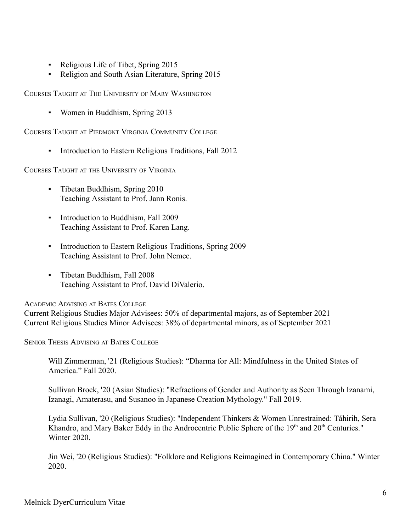- Religious Life of Tibet, Spring 2015
- Religion and South Asian Literature, Spring 2015

COURSES TAUGHT AT THE UNIVERSITY OF MARY WASHINGTON

Women in Buddhism, Spring 2013

COURSES TAUGHT AT PIEDMONT VIRGINIA COMMUNITY COLLEGE

Introduction to Eastern Religious Traditions, Fall 2012

COURSES TAUGHT AT THE UNIVERSITY OF VIRGINIA

- Tibetan Buddhism, Spring 2010 Teaching Assistant to Prof. Jann Ronis.
- **•** Introduction to Buddhism, Fall 2009 Teaching Assistant to Prof. Karen Lang.
- Introduction to Eastern Religious Traditions, Spring 2009 Teaching Assistant to Prof. John Nemec.
- Tibetan Buddhism, Fall 2008 Teaching Assistant to Prof. David DiValerio.

ACADEMIC ADVISING AT BATES COLLEGE

Current Religious Studies Major Advisees: 50% of departmental majors, as of September 2021 Current Religious Studies Minor Advisees: 38% of departmental minors, as of September 2021

SENIOR THESIS ADVISING AT BATES COLLEGE

Will Zimmerman, '21 (Religious Studies): "Dharma for All: Mindfulness in the United States of America." Fall 2020.

Sullivan Brock, '20 (Asian Studies): "Refractions of Gender and Authority as Seen Through Izanami, Izanagi, Amaterasu, and Susanoo in Japanese Creation Mythology." Fall 2019.

Lydia Sullivan, '20 (Religious Studies): "Independent Thinkers & Women Unrestrained: Táhirih, Sera Khandro, and Mary Baker Eddy in the Androcentric Public Sphere of the 19<sup>th</sup> and 20<sup>th</sup> Centuries." Winter 2020.

Jin Wei, '20 (Religious Studies): "Folklore and Religions Reimagined in Contemporary China." Winter 2020.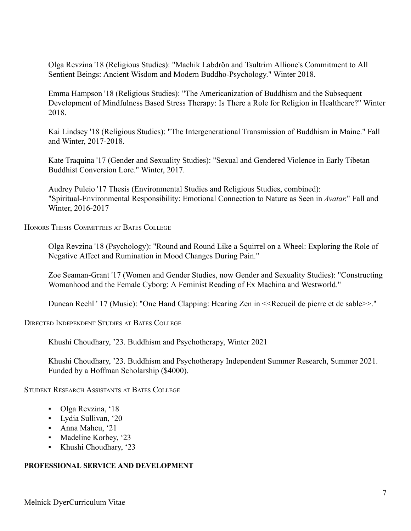Olga Revzina '18 (Religious Studies): "Machik Labdrön and Tsultrim Allione's Commitment to All Sentient Beings: Ancient Wisdom and Modern Buddho-Psychology." Winter 2018.

Emma Hampson '18 (Religious Studies): "The Americanization of Buddhism and the Subsequent Development of Mindfulness Based Stress Therapy: Is There a Role for Religion in Healthcare?" Winter 2018.

Kai Lindsey '18 (Religious Studies): "The Intergenerational Transmission of Buddhism in Maine." Fall and Winter, 2017-2018.

Kate Traquina '17 (Gender and Sexuality Studies): "Sexual and Gendered Violence in Early Tibetan Buddhist Conversion Lore." Winter, 2017.

Audrey Puleio '17 Thesis (Environmental Studies and Religious Studies, combined): "Spiritual-Environmental Responsibility: Emotional Connection to Nature as Seen in *Avatar.*" Fall and Winter, 2016-2017

HONORS THESIS COMMITTEES AT BATES COLLEGE

Olga Revzina '18 (Psychology): "Round and Round Like a Squirrel on a Wheel: Exploring the Role of Negative Affect and Rumination in Mood Changes During Pain."

Zoe Seaman-Grant '17 (Women and Gender Studies, now Gender and Sexuality Studies): "Constructing Womanhood and the Female Cyborg: A Feminist Reading of Ex Machina and Westworld."

Duncan Reehl ' 17 (Music): "One Hand Clapping: Hearing Zen in <<Recueil de pierre et de sable>>."

DIRECTED INDEPENDENT STUDIES AT BATES COLLEGE

Khushi Choudhary, '23. Buddhism and Psychotherapy, Winter 2021

Khushi Choudhary, '23. Buddhism and Psychotherapy Independent Summer Research, Summer 2021. Funded by a Hoffman Scholarship (\$4000).

STUDENT RESEARCH ASSISTANTS AT BATES COLLEGE

- Olga Revzina, '18
- Lydia Sullivan, '20
- Anna Maheu, '21
- Madeline Korbey, '23
- *▪* Khushi Choudhary, '23

### **PROFESSIONAL SERVICE AND DEVELOPMENT**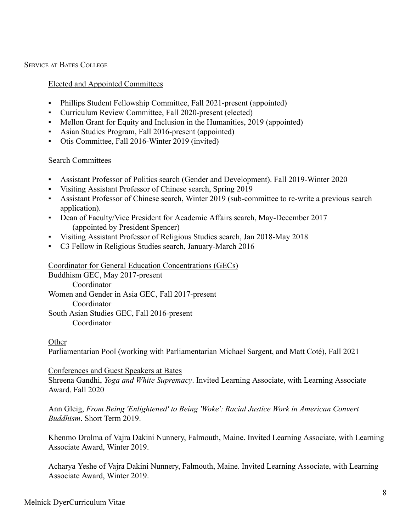SERVICE AT BATES COLLEGE

## Elected and Appointed Committees

- Phillips Student Fellowship Committee, Fall 2021-present (appointed)
- Curriculum Review Committee, Fall 2020-present (elected)
- Mellon Grant for Equity and Inclusion in the Humanities, 2019 (appointed)
- Asian Studies Program, Fall 2016-present (appointed)
- Otis Committee, Fall 2016-Winter 2019 (invited)

### Search Committees

- Assistant Professor of Politics search (Gender and Development). Fall 2019-Winter 2020
- Visiting Assistant Professor of Chinese search, Spring 2019
- Assistant Professor of Chinese search, Winter 2019 (sub-committee to re-write a previous search application).
- Dean of Faculty/Vice President for Academic Affairs search, May-December 2017 (appointed by President Spencer)
- Visiting Assistant Professor of Religious Studies search, Jan 2018-May 2018
- C3 Fellow in Religious Studies search, January-March 2016

### Coordinator for General Education Concentrations (GECs)

Buddhism GEC, May 2017-present Coordinator Women and Gender in Asia GEC, Fall 2017-present Coordinator South Asian Studies GEC, Fall 2016-present Coordinator

### **Other**

Parliamentarian Pool (working with Parliamentarian Michael Sargent, and Matt Coté), Fall 2021

### Conferences and Guest Speakers at Bates

Shreena Gandhi, *Yoga and White Supremacy*. Invited Learning Associate, with Learning Associate Award. Fall 2020

Ann Gleig, *From Being 'Enlightened' to Being 'Woke': Racial Justice Work in American Convert Buddhism*. Short Term 2019.

Khenmo Drolma of Vajra Dakini Nunnery, Falmouth, Maine. Invited Learning Associate, with Learning Associate Award, Winter 2019.

Acharya Yeshe of Vajra Dakini Nunnery, Falmouth, Maine. Invited Learning Associate, with Learning Associate Award, Winter 2019.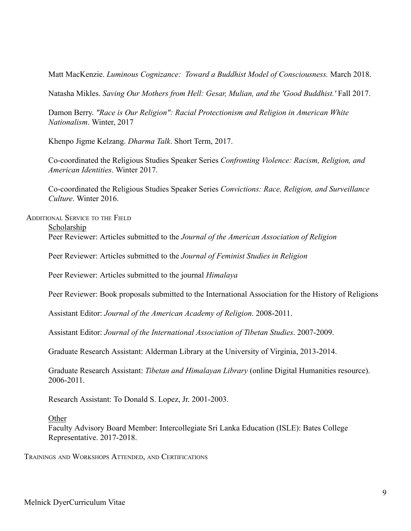Matt MacKenzie. *Luminous Cognizance: Toward a Buddhist Model of Consciousness.* March 2018.

Natasha Mikles. *Saving Our Mothers from Hell: Gesar, Mulian, and the 'Good Buddhist.'* Fall 2017.

Damon Berry. *"Race is Our Religion": Racial Protectionism and Religion in American White Nationalism*. Winter, 2017

Khenpo Jigme Kelzang. *Dharma Talk*. Short Term, 2017.

Co-coordinated the Religious Studies Speaker Series *Confronting Violence: Racism, Religion, and American Identities*. Winter 2017.

Co-coordinated the Religious Studies Speaker Series *Convictions: Race, Religion, and Surveillance Culture*. Winter 2016.

ADDITIONAL SERVICE TO THE FIELD

Scholarship

Peer Reviewer: Articles submitted to the *Journal of the American Association of Religion*

Peer Reviewer: Articles submitted to the *Journal of Feminist Studies in Religion*

Peer Reviewer: Articles submitted to the journal *Himalaya*

Peer Reviewer: Book proposals submitted to the International Association for the History of Religions

Assistant Editor: *Journal of the American Academy of Religion*. 2008-2011.

Assistant Editor: *Journal of the International Association of Tibetan Studies*. 2007-2009.

Graduate Research Assistant: Alderman Library at the University of Virginia, 2013-2014.

Graduate Research Assistant: *Tibetan and Himalayan Library* (online Digital Humanities resource). 2006-2011.

Research Assistant: To Donald S. Lopez, Jr. 2001-2003.

**Other** 

Faculty Advisory Board Member: Intercollegiate Sri Lanka Education (ISLE): Bates College Representative. 2017-2018.

TRAININGS AND WORKSHOPS ATTENDED, AND CERTIFICATIONS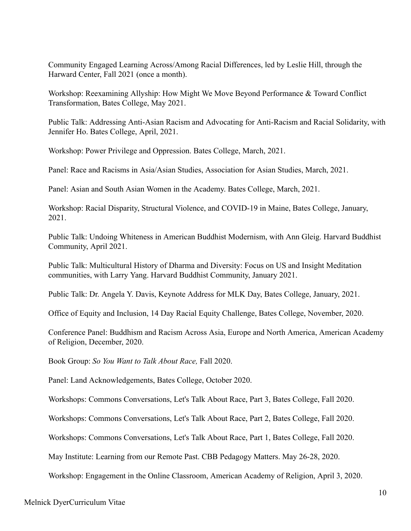Community Engaged Learning Across/Among Racial Differences, led by Leslie Hill, through the Harward Center, Fall 2021 (once a month).

Workshop: Reexamining Allyship: How Might We Move Beyond Performance & Toward Conflict Transformation, Bates College, May 2021.

Public Talk: Addressing Anti-Asian Racism and Advocating for Anti-Racism and Racial Solidarity, with Jennifer Ho. Bates College, April, 2021.

Workshop: Power Privilege and Oppression. Bates College, March, 2021.

Panel: Race and Racisms in Asia/Asian Studies, Association for Asian Studies, March, 2021.

Panel: Asian and South Asian Women in the Academy. Bates College, March, 2021.

Workshop: Racial Disparity, Structural Violence, and COVID-19 in Maine, Bates College, January, 2021.

Public Talk: Undoing Whiteness in American Buddhist Modernism, with Ann Gleig. Harvard Buddhist Community, April 2021.

Public Talk: Multicultural History of Dharma and Diversity: Focus on US and Insight Meditation communities, with Larry Yang. Harvard Buddhist Community, January 2021.

Public Talk: Dr. Angela Y. Davis, Keynote Address for MLK Day, Bates College, January, 2021.

Office of Equity and Inclusion, 14 Day Racial Equity Challenge, Bates College, November, 2020.

Conference Panel: Buddhism and Racism Across Asia, Europe and North America, American Academy of Religion, December, 2020.

Book Group: *So You Want to Talk About Race,* Fall 2020.

Panel: Land Acknowledgements, Bates College, October 2020.

Workshops: Commons Conversations, Let's Talk About Race, Part 3, Bates College, Fall 2020.

Workshops: Commons Conversations, Let's Talk About Race, Part 2, Bates College, Fall 2020.

Workshops: Commons Conversations, Let's Talk About Race, Part 1, Bates College, Fall 2020.

May Institute: Learning from our Remote Past. CBB Pedagogy Matters. May 26-28, 2020.

Workshop: Engagement in the Online Classroom, American Academy of Religion, April 3, 2020.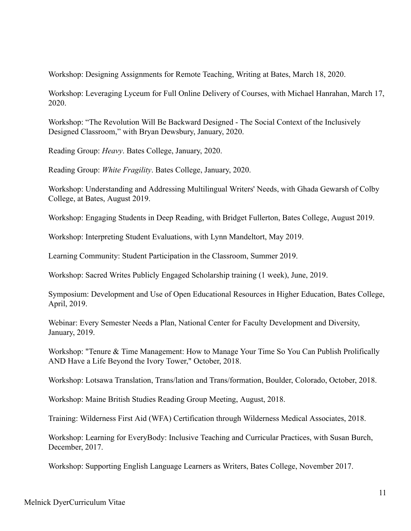Workshop: Designing Assignments for Remote Teaching, Writing at Bates, March 18, 2020.

Workshop: Leveraging Lyceum for Full Online Delivery of Courses, with Michael Hanrahan, March 17, 2020.

Workshop: "The Revolution Will Be Backward Designed - The Social Context of the Inclusively Designed Classroom," with Bryan Dewsbury, January, 2020.

Reading Group: *Heavy*. Bates College, January, 2020.

Reading Group: *White Fragility*. Bates College, January, 2020.

Workshop: Understanding and Addressing Multilingual Writers' Needs, with Ghada Gewarsh of Colby College, at Bates, August 2019.

Workshop: Engaging Students in Deep Reading, with Bridget Fullerton, Bates College, August 2019.

Workshop: Interpreting Student Evaluations, with Lynn Mandeltort, May 2019.

Learning Community: Student Participation in the Classroom, Summer 2019.

Workshop: Sacred Writes Publicly Engaged Scholarship training (1 week), June, 2019.

Symposium: Development and Use of Open Educational Resources in Higher Education, Bates College, April, 2019.

Webinar: Every Semester Needs a Plan, National Center for Faculty Development and Diversity, January, 2019.

Workshop: "Tenure & Time Management: How to Manage Your Time So You Can Publish Prolifically AND Have a Life Beyond the Ivory Tower," October, 2018.

Workshop: Lotsawa Translation, Trans/lation and Trans/formation, Boulder, Colorado, October, 2018.

Workshop: Maine British Studies Reading Group Meeting, August, 2018.

Training: Wilderness First Aid (WFA) Certification through Wilderness Medical Associates, 2018.

Workshop: Learning for EveryBody: Inclusive Teaching and Curricular Practices, with Susan Burch, December, 2017.

Workshop: Supporting English Language Learners as Writers, Bates College, November 2017.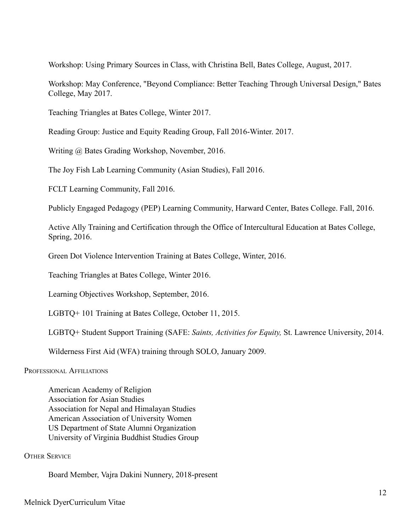Workshop: Using Primary Sources in Class, with Christina Bell, Bates College, August, 2017.

Workshop: May Conference, "Beyond Compliance: Better Teaching Through Universal Design," Bates College, May 2017.

Teaching Triangles at Bates College, Winter 2017.

Reading Group: Justice and Equity Reading Group, Fall 2016-Winter. 2017.

Writing @ Bates Grading Workshop, November, 2016.

The Joy Fish Lab Learning Community (Asian Studies), Fall 2016.

FCLT Learning Community, Fall 2016.

Publicly Engaged Pedagogy (PEP) Learning Community, Harward Center, Bates College. Fall, 2016.

Active Ally Training and Certification through the Office of Intercultural Education at Bates College, Spring, 2016.

Green Dot Violence Intervention Training at Bates College, Winter, 2016.

Teaching Triangles at Bates College, Winter 2016.

Learning Objectives Workshop, September, 2016.

LGBTQ+ 101 Training at Bates College, October 11, 2015.

LGBTQ+ Student Support Training (SAFE: *Saints, Activities for Equity,* St. Lawrence University, 2014.

Wilderness First Aid (WFA) training through SOLO, January 2009.

PROFESSIONAL AFFILIATIONS

American Academy of Religion Association for Asian Studies Association for Nepal and Himalayan Studies American Association of University Women US Department of State Alumni Organization University of Virginia Buddhist Studies Group

**OTHER SERVICE** 

Board Member, Vajra Dakini Nunnery, 2018-present